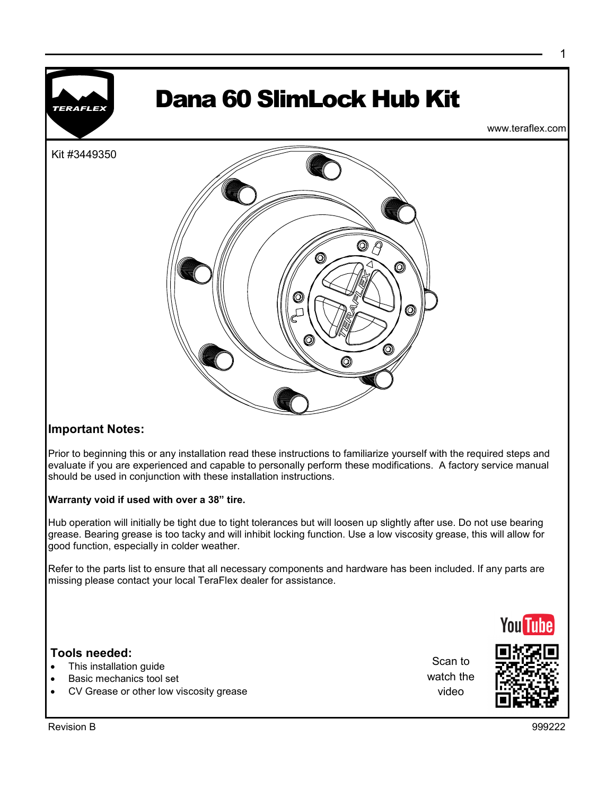

## **Important Notes:**

Prior to beginning this or any installation read these instructions to familiarize yourself with the required steps and evaluate if you are experienced and capable to personally perform these modifications. A factory service manual should be used in conjunction with these installation instructions.

### **Warranty void if used with over a 38" tire.**

Hub operation will initially be tight due to tight tolerances but will loosen up slightly after use. Do not use bearing grease. Bearing grease is too tacky and will inhibit locking function. Use a low viscosity grease, this will allow for good function, especially in colder weather.

Refer to the parts list to ensure that all necessary components and hardware has been included. If any parts are missing please contact your local TeraFlex dealer for assistance.

## **Tools needed:**

- This installation guide
- Basic mechanics tool set
- CV Grease or other low viscosity grease

Scan to watch the video



**You Tuhe** 

1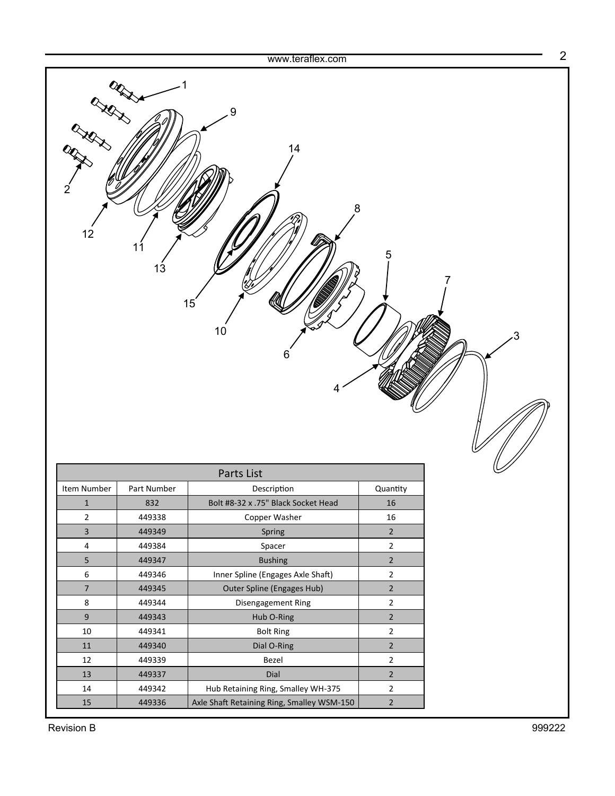|                         |             | www.teraflex.com                           |                |   |
|-------------------------|-------------|--------------------------------------------|----------------|---|
| <b>XX</b><br>2<br>12    | 11<br>13    | 9<br>14<br>8<br>15<br>$10$<br>6<br>4       | 5              | 7 |
| Parts List              |             |                                            |                |   |
| Item Number             | Part Number | Description                                | Quantity       |   |
| $\mathbf 1$             | 832         | Bolt #8-32 x .75" Black Socket Head        | 16             |   |
| $\overline{2}$          | 449338      | Copper Washer                              | $16\,$         |   |
| 3                       | 449349      | Spring                                     | $\overline{2}$ |   |
| $\overline{\mathbf{4}}$ | 449384      | Spacer                                     | $\overline{2}$ |   |
| 5                       | 449347      | <b>Bushing</b>                             | $\overline{2}$ |   |
| 6                       | 449346      | Inner Spline (Engages Axle Shaft)          | $\mathbf{2}$   |   |
| $\boldsymbol{7}$        | 449345      | Outer Spline (Engages Hub)                 | $\overline{2}$ |   |
| $\bf 8$                 | 449344      | Disengagement Ring                         | $\overline{2}$ |   |
| $9\,$                   | 449343      | Hub O-Ring                                 | $\overline{2}$ |   |
| $10\,$                  | 449341      | <b>Bolt Ring</b>                           | $\overline{2}$ |   |
| $11\,$                  | 449340      | Dial O-Ring                                | $\overline{2}$ |   |
| $12\,$                  | 449339      | Bezel                                      | $\mathbf{2}$   |   |
| $13\,$                  | 449337      | Dial                                       | $\overline{2}$ |   |
| $14\,$                  | 449342      | Hub Retaining Ring, Smalley WH-375         | $\mathbf{2}$   |   |
| 15                      | 449336      | Axle Shaft Retaining Ring, Smalley WSM-150 | $\overline{2}$ |   |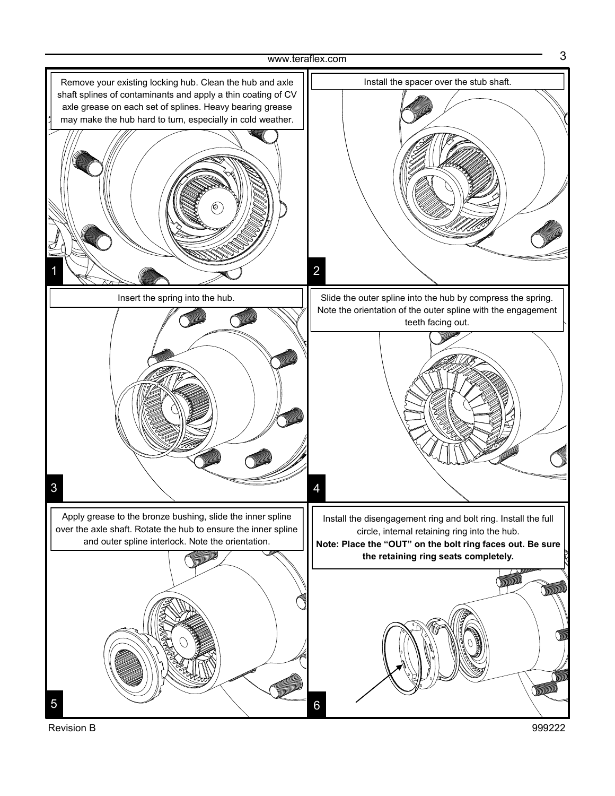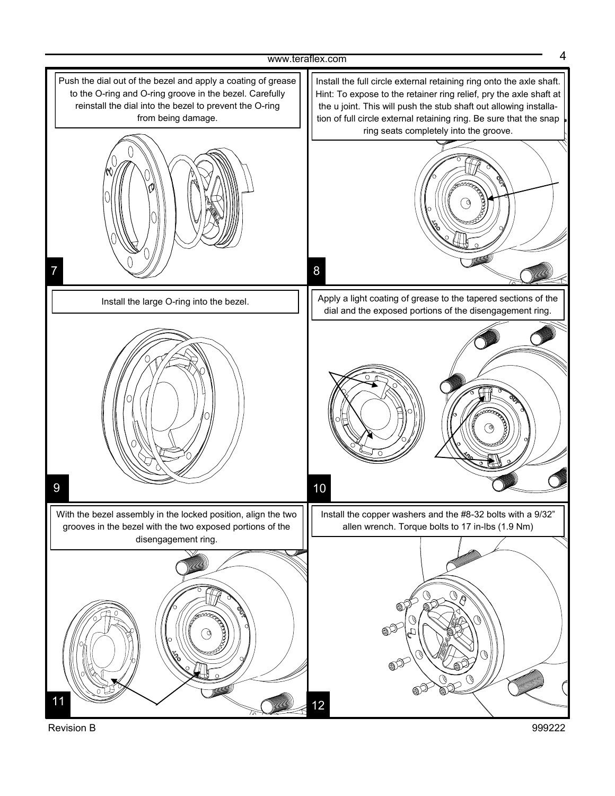